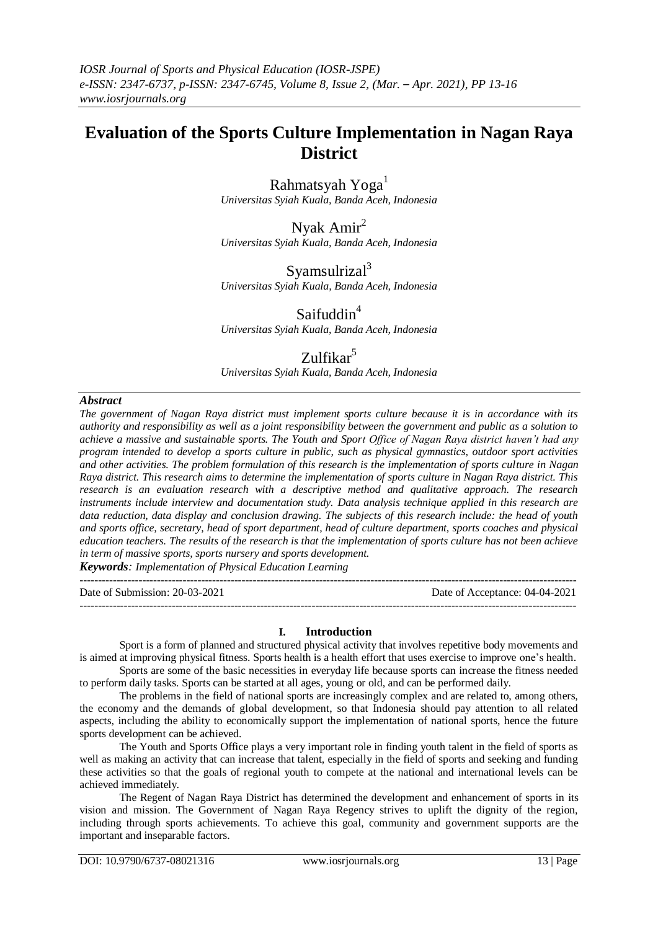# **Evaluation of the Sports Culture Implementation in Nagan Raya District**

Rahmatsyah Yoga<sup>1</sup> *Universitas Syiah Kuala, Banda Aceh, Indonesia*

Nyak Amir<sup>2</sup> *Universitas Syiah Kuala, Banda Aceh, Indonesia*

Syamsulrizal $3$ *Universitas Syiah Kuala, Banda Aceh, Indonesia*

Saifuddin<sup>4</sup> *Universitas Syiah Kuala, Banda Aceh, Indonesia*

# Zulfikar<sup>5</sup>

*Universitas Syiah Kuala, Banda Aceh, Indonesia*

## *Abstract*

*The government of Nagan Raya district must implement sports culture because it is in accordance with its authority and responsibility as well as a joint responsibility between the government and public as a solution to achieve a massive and sustainable sports. The Youth and Sport Office of Nagan Raya district haven't had any program intended to develop a sports culture in public, such as physical gymnastics, outdoor sport activities and other activities. The problem formulation of this research is the implementation of sports culture in Nagan Raya district. This research aims to determine the implementation of sports culture in Nagan Raya district. This research is an evaluation research with a descriptive method and qualitative approach. The research instruments include interview and documentation study. Data analysis technique applied in this research are data reduction, data display and conclusion drawing. The subjects of this research include: the head of youth and sports office, secretary, head of sport department, head of culture department, sports coaches and physical education teachers. The results of the research is that the implementation of sports culture has not been achieve in term of massive sports, sports nursery and sports development.* 

*Keywords: Implementation of Physical Education Learning*  $-1\leq i\leq n-1$ 

---------------------------------------------------------------------------------------------------------------------------------------

Date of Submission: 20-03-2021 Date of Acceptance: 04-04-2021

## **I. Introduction**

Sport is a form of planned and structured physical activity that involves repetitive body movements and is aimed at improving physical fitness. Sports health is a health effort that uses exercise to improve one's health. Sports are some of the basic necessities in everyday life because sports can increase the fitness needed

to perform daily tasks. Sports can be started at all ages, young or old, and can be performed daily.

The problems in the field of national sports are increasingly complex and are related to, among others, the economy and the demands of global development, so that Indonesia should pay attention to all related aspects, including the ability to economically support the implementation of national sports, hence the future sports development can be achieved.

The Youth and Sports Office plays a very important role in finding youth talent in the field of sports as well as making an activity that can increase that talent, especially in the field of sports and seeking and funding these activities so that the goals of regional youth to compete at the national and international levels can be achieved immediately.

The Regent of Nagan Raya District has determined the development and enhancement of sports in its vision and mission. The Government of Nagan Raya Regency strives to uplift the dignity of the region, including through sports achievements. To achieve this goal, community and government supports are the important and inseparable factors.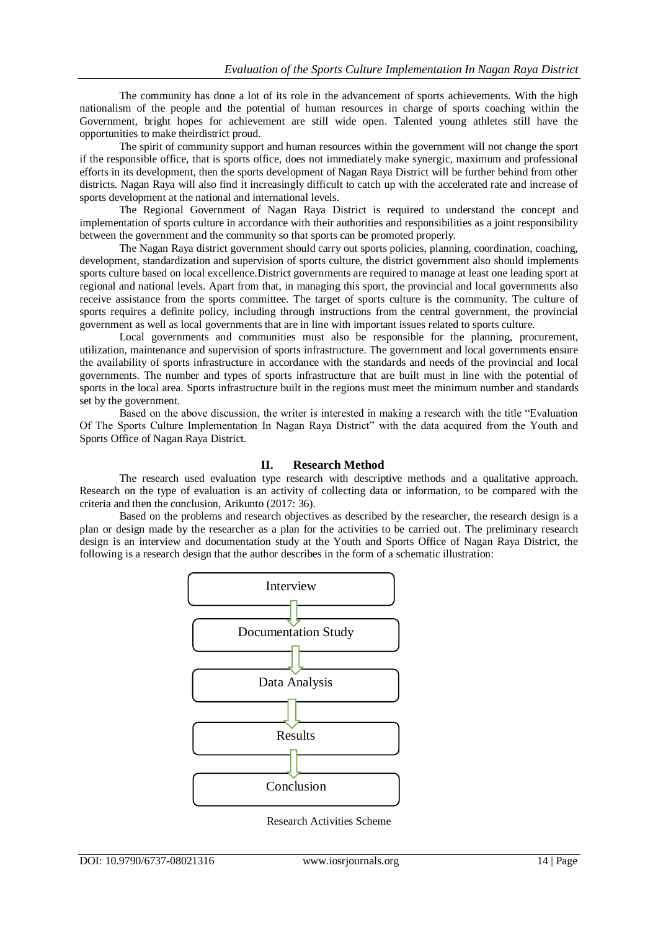The community has done a lot of its role in the advancement of sports achievements. With the high nationalism of the people and the potential of human resources in charge of sports coaching within the Government, bright hopes for achievement are still wide open. Talented young athletes still have the opportunities to make theirdistrict proud.

The spirit of community support and human resources within the government will not change the sport if the responsible office, that is sports office, does not immediately make synergic, maximum and professional efforts in its development, then the sports development of Nagan Raya District will be further behind from other districts. Nagan Raya will also find it increasingly difficult to catch up with the accelerated rate and increase of sports development at the national and international levels.

The Regional Government of Nagan Raya District is required to understand the concept and implementation of sports culture in accordance with their authorities and responsibilities as a joint responsibility between the government and the community so that sports can be promoted properly.

The Nagan Raya district government should carry out sports policies, planning, coordination, coaching, development, standardization and supervision of sports culture, the district government also should implements sports culture based on local excellence.District governments are required to manage at least one leading sport at regional and national levels. Apart from that, in managing this sport, the provincial and local governments also receive assistance from the sports committee. The target of sports culture is the community. The culture of sports requires a definite policy, including through instructions from the central government, the provincial government as well as local governments that are in line with important issues related to sports culture.

Local governments and communities must also be responsible for the planning, procurement, utilization, maintenance and supervision of sports infrastructure. The government and local governments ensure the availability of sports infrastructure in accordance with the standards and needs of the provincial and local governments. The number and types of sports infrastructure that are built must in line with the potential of sports in the local area. Sports infrastructure built in the regions must meet the minimum number and standards set by the government.

Based on the above discussion, the writer is interested in making a research with the title "Evaluation Of The Sports Culture Implementation In Nagan Raya District" with the data acquired from the Youth and Sports Office of Nagan Raya District.

#### **II. Research Method**

The research used evaluation type research with descriptive methods and a qualitative approach. Research on the type of evaluation is an activity of collecting data or information, to be compared with the criteria and then the conclusion, Arikunto (2017: 36).

Based on the problems and research objectives as described by the researcher, the research design is a plan or design made by the researcher as a plan for the activities to be carried out. The preliminary research design is an interview and documentation study at the Youth and Sports Office of Nagan Raya District, the following is a research design that the author describes in the form of a schematic illustration:



Research Activities Scheme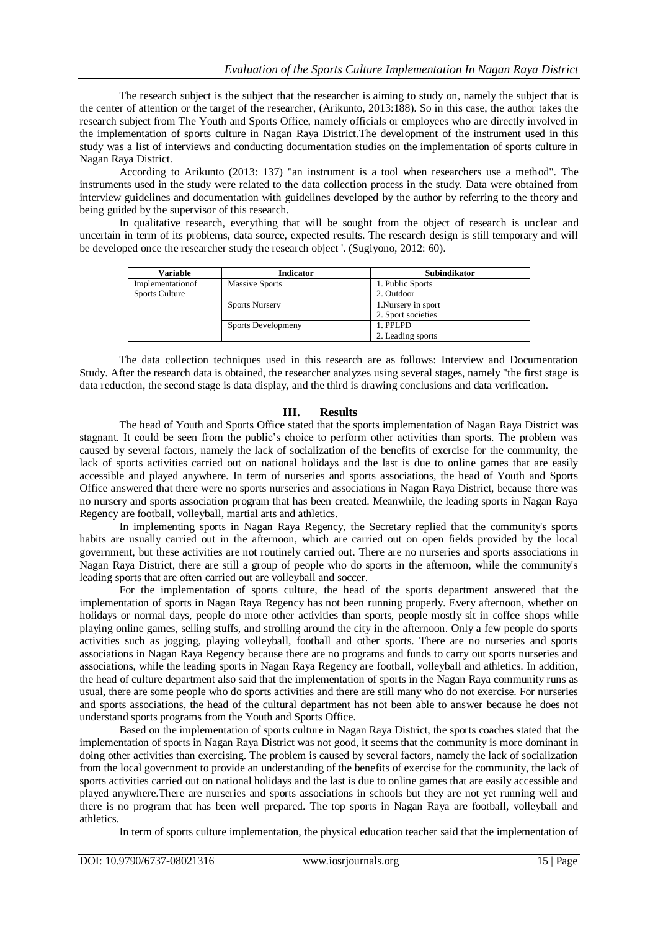The research subject is the subject that the researcher is aiming to study on, namely the subject that is the center of attention or the target of the researcher, (Arikunto, 2013:188). So in this case, the author takes the research subject from The Youth and Sports Office, namely officials or employees who are directly involved in the implementation of sports culture in Nagan Raya District.The development of the instrument used in this study was a list of interviews and conducting documentation studies on the implementation of sports culture in Nagan Raya District.

According to Arikunto (2013: 137) "an instrument is a tool when researchers use a method". The instruments used in the study were related to the data collection process in the study. Data were obtained from interview guidelines and documentation with guidelines developed by the author by referring to the theory and being guided by the supervisor of this research.

In qualitative research, everything that will be sought from the object of research is unclear and uncertain in term of its problems, data source, expected results. The research design is still temporary and will be developed once the researcher study the research object '. (Sugiyono, 2012: 60).

| Variable              | <b>Indicator</b>      | <b>Subindikator</b> |  |
|-----------------------|-----------------------|---------------------|--|
| Implementation of     | <b>Massive Sports</b> | 1. Public Sports    |  |
| <b>Sports Culture</b> |                       | 2. Outdoor          |  |
|                       | <b>Sports Nursery</b> | 1. Nursery in sport |  |
|                       |                       | 2. Sport societies  |  |
|                       | Sports Developmeny    | 1. PPLPD            |  |
|                       |                       | 2. Leading sports   |  |

The data collection techniques used in this research are as follows: Interview and Documentation Study. After the research data is obtained, the researcher analyzes using several stages, namely "the first stage is data reduction, the second stage is data display, and the third is drawing conclusions and data verification.

#### **III. Results**

The head of Youth and Sports Office stated that the sports implementation of Nagan Raya District was stagnant. It could be seen from the public's choice to perform other activities than sports. The problem was caused by several factors, namely the lack of socialization of the benefits of exercise for the community, the lack of sports activities carried out on national holidays and the last is due to online games that are easily accessible and played anywhere. In term of nurseries and sports associations, the head of Youth and Sports Office answered that there were no sports nurseries and associations in Nagan Raya District, because there was no nursery and sports association program that has been created. Meanwhile, the leading sports in Nagan Raya Regency are football, volleyball, martial arts and athletics.

In implementing sports in Nagan Raya Regency, the Secretary replied that the community's sports habits are usually carried out in the afternoon, which are carried out on open fields provided by the local government, but these activities are not routinely carried out. There are no nurseries and sports associations in Nagan Raya District, there are still a group of people who do sports in the afternoon, while the community's leading sports that are often carried out are volleyball and soccer.

For the implementation of sports culture, the head of the sports department answered that the implementation of sports in Nagan Raya Regency has not been running properly. Every afternoon, whether on holidays or normal days, people do more other activities than sports, people mostly sit in coffee shops while playing online games, selling stuffs, and strolling around the city in the afternoon. Only a few people do sports activities such as jogging, playing volleyball, football and other sports. There are no nurseries and sports associations in Nagan Raya Regency because there are no programs and funds to carry out sports nurseries and associations, while the leading sports in Nagan Raya Regency are football, volleyball and athletics. In addition, the head of culture department also said that the implementation of sports in the Nagan Raya community runs as usual, there are some people who do sports activities and there are still many who do not exercise. For nurseries and sports associations, the head of the cultural department has not been able to answer because he does not understand sports programs from the Youth and Sports Office.

Based on the implementation of sports culture in Nagan Raya District, the sports coaches stated that the implementation of sports in Nagan Raya District was not good, it seems that the community is more dominant in doing other activities than exercising. The problem is caused by several factors, namely the lack of socialization from the local government to provide an understanding of the benefits of exercise for the community, the lack of sports activities carried out on national holidays and the last is due to online games that are easily accessible and played anywhere.There are nurseries and sports associations in schools but they are not yet running well and there is no program that has been well prepared. The top sports in Nagan Raya are football, volleyball and athletics.

In term of sports culture implementation, the physical education teacher said that the implementation of